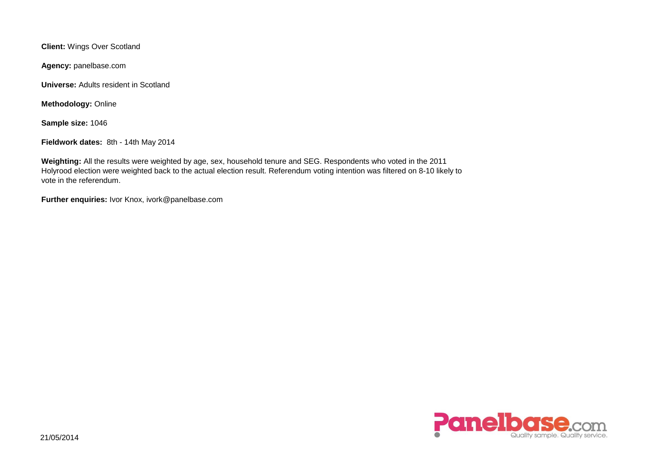**Client:** Wings Over Scotland

**Agency:** panelbase.com

**Universe:** Adults resident in Scotland

**Methodology:** Online

**Sample size:** 1046

**Fieldwork dates:** 8th - 14th May 2014

**Weighting:** All the results were weighted by age, sex, household tenure and SEG. Respondents who voted in the 2011 Holyrood election were weighted back to the actual election result. Referendum voting intention was filtered on 8-10 likely to vote in the referendum.

**Further enquiries:** Ivor Knox, ivork@panelbase.com

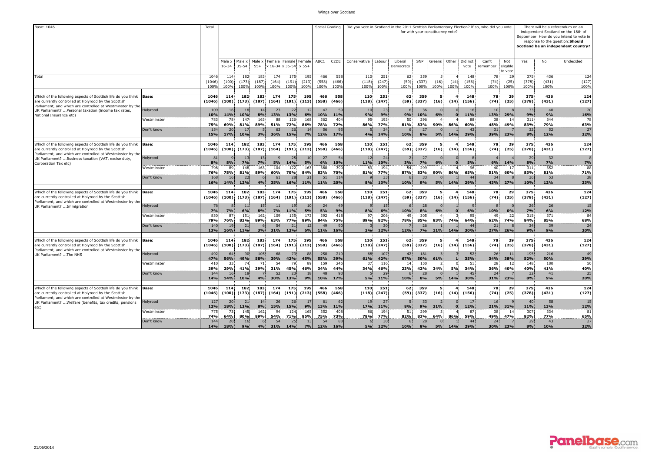| Base: 1046                                                                                                                                                                         |                           | Total                  |                      |                        |                      |                      |                                               |                      |                      | Social Grading              | Did you vote in Scotland in the 2011 Scottish Parliamentary Election? If so, who did you vote |                      |                      |                      | for with your constituency vote? |              |                              |                    |                            |                      |                      | There will be a referendum on an<br>independent Scotland on the 18th of<br>September. How do you intend to vote in<br>response to the question: Should<br>Scotland be an independent country? |
|------------------------------------------------------------------------------------------------------------------------------------------------------------------------------------|---------------------------|------------------------|----------------------|------------------------|----------------------|----------------------|-----------------------------------------------|----------------------|----------------------|-----------------------------|-----------------------------------------------------------------------------------------------|----------------------|----------------------|----------------------|----------------------------------|--------------|------------------------------|--------------------|----------------------------|----------------------|----------------------|-----------------------------------------------------------------------------------------------------------------------------------------------------------------------------------------------|
|                                                                                                                                                                                    |                           |                        | 16-34                | Male x Male x<br>35-54 | Male x<br>$55+$      |                      | Female Female Female<br>x 16-34 x 35-54 x 55+ |                      | ABC1                 | C <sub>2</sub> DE           | Conservative                                                                                  | Labour               | Liberal<br>Democrats | SNP                  |                                  |              | Greens Other Did not<br>vote | Can't<br>remember  | Not<br>eligible<br>to vote | Yes                  | No                   | Undecided                                                                                                                                                                                     |
| Total                                                                                                                                                                              |                           | 1046<br>(1046)<br>100% | 114<br>(100)<br>100% | 182<br>(173)<br>100%   | 183<br>(187)<br>100% | 174<br>(164)<br>100% | 175<br>(191)<br>100%                          | 195<br>(213)<br>100% | 466<br>(558)<br>100% | 558<br>(466)<br>100%        | 110<br>(118)<br>100%                                                                          | 251<br>(247)<br>100% | 62<br>(59)<br>100%   | 359<br>(337)<br>100% | (16)<br>100%                     | (14)<br>100% | 148<br>(156)<br>100%         | 78<br>(74)<br>100% | 29<br>(25)<br>100%         | 375<br>(378)<br>100% | 436<br>(431)<br>100% | 124<br>(127)<br>100%                                                                                                                                                                          |
| Which of the following aspects of Scottish life do you think<br>are currently controlled at Holyrood by the Scottish<br>Parliament, and which are controlled at Westminster by the | <b>Base:</b>              | 1046<br>(1046)         | 114<br>(100)         | 182<br>(173)           | 183<br>(187)         | 174<br>(164)         | 175<br>(191)                                  | 195<br>(213)         | 466<br>(558)         | 558<br>(466)                | 110<br>(118)                                                                                  | 251<br>(247)         | 62<br>(59)           | 359<br>(337)         | 5<br>(16)                        | (14)         | 148<br>(156)                 | 78<br>(74)         | 29<br>(25)                 | 375<br>(378)         | 436<br>(431)         | 124<br>(127)                                                                                                                                                                                  |
| UK Parliament?  Personal taxation (income tax rates,<br>National Insurance etc)                                                                                                    | Holyrood<br>Westminster   | 109<br>10%<br>783      | 16<br>14%<br>78      | 18<br>10%<br>147       | 14<br>8%<br>163      | 23<br>13%<br>88      | 22<br>13%<br>126                              | 12<br>6%<br>168      | 47<br>10%<br>362     | 59<br>11%<br>404            | 10<br>9%<br>95                                                                                | 23<br>9%<br>193      | 9%<br>50             | 36<br>10%<br>296     | 6%                               |              | 16<br>11%<br>88              | 10<br>13%<br>38    | 29%<br>14                  | 33<br>9%<br>311      | 40<br>9%<br>344      | 20<br>16%<br>78                                                                                                                                                                               |
|                                                                                                                                                                                    | Don't know                | 75%<br>154<br>15%      | 69%<br>20<br>17%     | 81%<br>17<br>10%       | 89%<br>3%            | 51%<br>63<br>36%     | 72%<br>26<br>15%                              | 86%<br>14<br>7%      | 78%<br>56<br>12%     | 72%<br>95<br>17%            | 86%<br>4%                                                                                     | 77%<br>34<br>14%     | 81%<br>10%           | 83%<br>27<br>8%      | 90%<br>5%                        | 86%<br>14%   | 60%<br>43<br>29%             | 48%<br>31<br>39%   | 49%<br>23%                 | 83%<br>32<br>8%      | 79%<br>52<br>12%     | 63%<br>27<br>22%                                                                                                                                                                              |
| Which of the following aspects of Scottish life do you think<br>are currently controlled at Holyrood by the Scottish<br>Parliament, and which are controlled at Westminster by the | <b>Base:</b>              | 1046<br>(1046)         | 114<br>(100)         | 182<br>(173)           | 183<br>(187)         | 174<br>(164)         | 175<br>(191)                                  | 195<br>(213)         | 466<br>(558)         | 558<br>(466)                | 110<br>(118)                                                                                  | 251<br>(247)         | 62<br>(59)           | 359<br>(337)         | 5<br>(16)                        | (14)         | 148<br>(156)                 | 78<br>(74)         | 29<br>(25)                 | 375<br>(378)         | 436<br>(431)         | 124<br>(127)                                                                                                                                                                                  |
| UK Parliament?  Business taxation (VAT, excise duty,<br>Corporation Tax etc)                                                                                                       | Holyrood                  | 81<br>8%               | 8%                   | 13<br>7%               | 13<br>7%             | 5%                   | 25<br>14%                                     | -10<br>5%            | 27<br>6%             | 54<br>10%                   | 12<br>11%                                                                                     | 24<br>10%            | 3%                   | 27<br>7%             | 6%                               |              | 5%                           | 6%                 | 14%                        | 29<br>8%             | 32<br>7%<br>352      | 7%                                                                                                                                                                                            |
|                                                                                                                                                                                    | Westminster<br>Don't know | 798<br>76%<br>168      | 89<br>78%<br>16      | 148<br>81%<br>22       | 163<br>89%           | 104<br>60%<br>61     | 122<br>70%<br>28                              | 163<br>84%<br>21     | 388<br>83%<br>51     | 390<br>70%<br>114           | 89<br>81%                                                                                     | 194<br>77%<br>33     | 54<br>87%            | 299<br>83%<br>33     | 90%                              | 86%          | 96<br>65%<br>44              | 40<br>51%<br>34    | -17<br>60%                 | 311<br>83%<br>36     | 81%<br>53            | 88<br>71%<br>28                                                                                                                                                                               |
|                                                                                                                                                                                    |                           | 16%                    | 14%                  | 12%                    | 4%                   | 35%                  | 16%                                           | 11%                  | 11%                  | 20%                         | 8%                                                                                            | 13%                  | 10%                  | 9%                   | <b>5%</b>                        | 14%          | 29%                          | 43%                | 27%                        | 10%                  | 12%                  | 23%                                                                                                                                                                                           |
| Which of the following aspects of Scottish life do you think<br>are currently controlled at Holyrood by the Scottish<br>Parliament, and which are controlled at Westminster by the | <b>Base:</b>              | 1046<br>(1046)         | 114<br>(100)         | 182<br>(173)           | 183<br>(187)         | 174<br>(164)         | 175<br>(191)                                  | 195<br>(213)         | 466<br>(558)         | 558<br>(466)                | 110<br>(118)                                                                                  | 251<br>(247)         | 62<br>(59)           | 359<br>(337)         | 5.<br>(16)                       | (14)         | 148<br>(156)                 | 78<br>(74)         | 29<br>(25)                 | 375<br>(378)         | 436<br>(431)         | 124<br>(127)                                                                                                                                                                                  |
| UK Parliament? Immigration                                                                                                                                                         | Holyrood<br>Westminster   | 76<br>7%<br>830        | 7%<br>87             | 11<br>6%<br>151        | 15<br>8%<br>162      | -11<br>7%<br>109     | -19<br>11%<br>135                             | 10<br>5%<br>173      | 24<br>5%<br>392      | 4 <sup>c</sup><br>9%<br>418 | 8%<br>97                                                                                      | 15<br>6%<br>206      | 10%<br>49            | 28<br>8%<br>305      | 6%                               |              | 6%<br>95                     | 10%<br>49          | 0%<br>22                   | 26<br>7%<br>315      | 26<br>6%<br>371      | 15<br>12%<br>84                                                                                                                                                                               |
|                                                                                                                                                                                    | Don't know                | 79%<br>140             | 76%<br>19            | 83%<br>21              | 89%                  | 63%<br>54            | 77%<br>21                                     | 89%<br>12            | 84%<br>49            | 75%<br>90                   | 89%                                                                                           | 82%<br>30            | 78%                  | 85%<br>26            | 83%                              | 74%          | 64%<br>44                    | 62%<br>21          | 74%                        | 84%<br>34            | 85%<br>39            | 68%<br>24                                                                                                                                                                                     |
|                                                                                                                                                                                    |                           | 13%                    | 16%                  | 11%                    | 3%                   | 31%                  | 12%                                           | 6%                   | 11%                  | 16%                         | 3%                                                                                            | 12%                  | 12%                  | 7%                   | 11%                              | 14%          | 30%                          | 27%                | 26%                        | 9%                   | 9%                   | 20%                                                                                                                                                                                           |
| Which of the following aspects of Scottish life do you think<br>are currently controlled at Holyrood by the Scottish<br>Parliament, and which are controlled at Westminster by the | <b>Base:</b>              | 1046<br>(1046)         | 114<br>(100)         | 182<br>(173)           | 183<br>(187)         | 174<br>(164)         | 175<br>(191)                                  | 195<br>(213)         | 466<br>(558)         | 558<br>(466)                | 110<br>(118)                                                                                  | 251<br>(247)         | 62<br>(59)           | 359<br>(337)         | 5<br>(16)                        | (14)         | 148<br>(156)                 | 78<br>(74)         | 29<br>(25)                 | 375<br>(378)         | 436<br>(431)         | 124<br>(127)                                                                                                                                                                                  |
| UK Parliament? The NHS                                                                                                                                                             | Holyrood                  | 492<br>47%<br>410      | 64<br>56%<br>33      | 90<br>49%<br>74        | 105<br>58%           | 68<br>39%<br>54      | 73<br>42%<br>79                               | 88<br>45%<br>89      | 258<br>55%<br>159    | 219<br>39%<br>245           | 68<br>61%<br>37 <sup>1</sup>                                                                  | 107<br>42%           | 42<br>67%<br>14      | 181<br>50%<br>150    | 61%                              |              | 52<br>35%                    | 26<br>34%<br>28    | 11<br>38%                  | 195<br>52%<br>148    | 216<br>50%<br>180    | 49<br>39%<br>50                                                                                                                                                                               |
|                                                                                                                                                                                    | Westminster<br>Don't know | 39%<br>144             | 29%<br>16            | 41%<br>18              | 71<br>39%            | 31%<br>52            | 45%<br>23                                     | 46%<br>18            | 34%<br>48            | 44%<br>93                   | 34%                                                                                           | 116<br>46%<br>29     | 23%                  | 42%<br>28            | 34%                              | <b>5%</b>    | 51<br>34%<br>45              | 36%<br>24          | -12<br>40%                 | 40%<br>32            | 41%<br>41            | 40%<br>25                                                                                                                                                                                     |
|                                                                                                                                                                                    |                           | 14%                    | 14%                  | 10%                    | 4%                   | 30%                  | 13%                                           | 9%                   | 10%                  | 17%                         | 5%                                                                                            | 11%                  | 10%                  | 8%                   | 5%                               | 14%          | 30%                          | 31%                | 23%                        | 8%                   | 9%                   | 20%                                                                                                                                                                                           |
| Which of the following aspects of Scottish life do you think<br>are currently controlled at Holyrood by the Scottish<br>Parliament, and which are controlled at Westminster by the | <b>Base:</b>              | 1046<br>(1046)         | 114<br>(100)         | 182<br>(173)           | 183<br>(187)         | 174<br>(164)         | 175<br>(191)                                  | 195<br>(213)         | 466<br>(558)         | 558<br>(466)                | 110<br>(118)                                                                                  | 251<br>(247)         | 62<br>(59)           | 359<br>(337)         | 5<br>(16)                        | (14)         | 148<br>(156)                 | 78.<br>(74)        | 29<br>(25)                 | 375<br>(378)         | 436<br>(431)         | 124<br>(127)                                                                                                                                                                                  |
| UK Parliament?  Welfare (benefits, tax credits, pensions<br>etc)                                                                                                                   | Holyrood<br>Westminster   | 127<br>12%<br>775      | 20<br>18%<br>73      | 21<br>12%<br>145       | 14<br>8%<br>162      | 26<br>15%<br>94      | 26<br>15%<br>124                              | 17<br>9%<br>165      | 61<br>13%<br>352     | 62<br>11%<br>408            | 19<br>17%<br>86                                                                               | 27<br>11%<br>194     | 8%<br>51             | 33<br>9%<br>299      | 31%                              |              | 17<br>12%<br>87              | 16<br>21%<br>38    | 31%                        | 40<br>11%<br>307     | 58<br>13%<br>334     | 15<br>12%<br>81                                                                                                                                                                               |
|                                                                                                                                                                                    | Don't know                | 74%<br>144<br>14%      | 64%<br>20<br>18%     | 80%<br>16<br>9%        | 89%<br>4%            | 54%<br>54<br>31%     | 71%<br>25<br>14%                              | 85%<br>13<br>7%      | 75%<br>54<br>12%     | 73%<br>88<br>16%            | 78%<br>5%                                                                                     | 77%<br>30<br>12%     | 82%<br>10%           | 83%<br>28<br>8%      | 64%<br>5%                        | 86%<br>14%   | 59%<br>44<br>29%             | 49%<br>24<br>30%   | 47%<br>23%                 | 82%<br>29<br>8%      | 77%<br>43<br>10%     | 65%<br>27<br>22%                                                                                                                                                                              |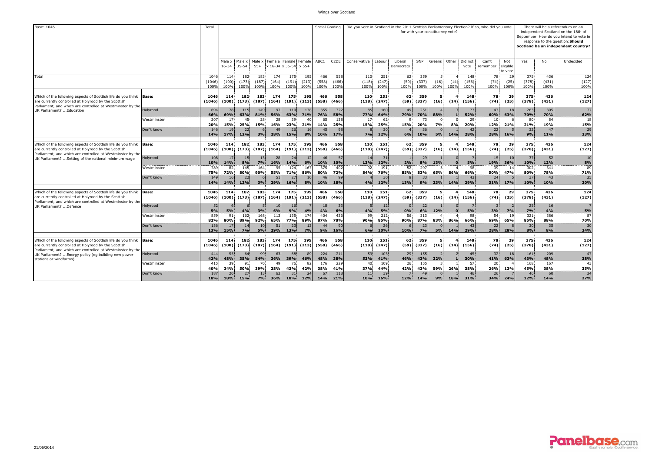| Base: 1046                                                                                                                                                                         |                           | Total                  |                      |                                                          |                      |                      |                       |                        |                         | Social Grading       | Did you vote in Scotland in the 2011 Scottish Parliamentary Election? If so, who did you vote |                        |                      |                       | for with your constituency vote? |              |                      |                            |                            |                      |                        | There will be a referendum on an<br>independent Scotland on the 18th of<br>September. How do you intend to vote in<br>response to the question: Should<br>Scotland be an independent country? |
|------------------------------------------------------------------------------------------------------------------------------------------------------------------------------------|---------------------------|------------------------|----------------------|----------------------------------------------------------|----------------------|----------------------|-----------------------|------------------------|-------------------------|----------------------|-----------------------------------------------------------------------------------------------|------------------------|----------------------|-----------------------|----------------------------------|--------------|----------------------|----------------------------|----------------------------|----------------------|------------------------|-----------------------------------------------------------------------------------------------------------------------------------------------------------------------------------------------|
|                                                                                                                                                                                    |                           |                        |                      | Male x Male x Male x Female Female Female<br>16-34 35-54 | $55+$                |                      | x 16-34 x 35-54 x 55+ |                        | ABC1                    | C <sub>2</sub> DE    | Conservative Labour                                                                           |                        | Liberal<br>Democrats | SNP                   | Greens Other Did not             |              | vote                 | Can't<br>remember          | Not<br>eligible<br>to vote | Yes                  | No                     | Undecided                                                                                                                                                                                     |
| Total                                                                                                                                                                              |                           | 1046<br>(1046)<br>100% | 114<br>(100)<br>100% | 182<br>(173)<br>100%                                     | 183<br>(187)<br>100% | 174<br>(164)<br>100% | 175<br>(191)<br>100%  | 195<br>(213)<br>100%   | 466<br>(558)<br>100%    | 558<br>(466)<br>100% | 110<br>(118)<br>100%                                                                          | 251<br>(247)<br>100%   | 62<br>(59)<br>100%   | 359<br>(337)<br>100%  | -5<br>(16)<br>100%               | (14)<br>100% | 148<br>(156)<br>100% | 78<br>(74)<br>100%         | 29<br>(25)<br>100%         | 375<br>(378)<br>100% | 436<br>(431)<br>100%   | 124<br>(127)<br>100%                                                                                                                                                                          |
| Which of the following aspects of Scottish life do you think<br>are currently controlled at Holyrood by the Scottish<br>Parliament, and which are controlled at Westminster by the | <b>Base:</b>              | 1046<br>(1046)         | 114<br>(100)         | 182<br>(173)                                             | 183<br>(187)         | 174<br>(164)         | 175<br>(191)          | 195<br>(213)           | 466<br>(558)            | 558<br>(466)         | 110<br>(118)                                                                                  | 251<br>(247)           | 62<br>(59)           | 359<br>(337)          | (16)                             | (14)         | 148<br>(156)         | 78<br>(74)                 | 29<br>(25)                 | 375<br>(378)         | 436<br>(431)           | 124<br>(127)                                                                                                                                                                                  |
| UK Parliament?  Education                                                                                                                                                          | Holyrood                  | 694<br>66%             | 78<br>69%<br>17      | 115<br>63%<br>45                                         | 149<br>81%           | 97<br>56%<br>28      | 110<br>63%<br>39      | 138<br>71%             | 355<br><b>76%</b><br>65 | 322<br>58%<br>138    | 85<br>77%<br>17                                                                               | 160<br>64%<br>62       | 49<br><b>79%</b>     | 251<br>70%<br>73      | 88%                              |              | 77<br>52%<br>29      | 47!<br>60%<br>$10^{\circ}$ | 63%                        | 263<br>70%<br>80     | 305<br>70%<br>84       | 77<br>62%<br>18                                                                                                                                                                               |
|                                                                                                                                                                                    | Westminster<br>Don't know | 207<br>20%<br>146      | 15%<br>19            | 25%<br>22                                                | 28<br>15%            | 16%                  | 23%<br>26             | 40<br>21%              | 14%<br>4 <sup>5</sup>   | 25%<br>98            | 15%                                                                                           | 25%<br>30              | 15%                  | 20%<br>36             | 7%                               | 8%           | 20%<br>42            | <b>12%</b><br>22           | 21%                        | 21%<br>32            | 19%<br>47              | 15%<br>29                                                                                                                                                                                     |
|                                                                                                                                                                                    |                           | 14%                    | 17%                  | 12%                                                      | 3%                   | 28%                  | 15%                   | 8%                     | 10%                     | 17%                  | 7%                                                                                            | 12%                    | 6%                   | 10%                   | <b>5%</b>                        | 14%          | 28%                  | 28%                        | 16%                        | 9%                   | 11%                    | 23%                                                                                                                                                                                           |
| Which of the following aspects of Scottish life do you think<br>are currently controlled at Holyrood by the Scottish<br>Parliament, and which are controlled at Westminster by the | <b>Base:</b>              | 1046<br>(1046)         | 114<br>(100)         | 182<br>(173)                                             | 183<br>(187)         | 174<br>(164)         | 175<br>(191)          | 195<br>(213)           | 466<br>(558)            | 558<br>(466)         | 110                                                                                           | 251<br>$(118)$ $(247)$ | 62.<br>(59)          | 359<br>(337)          | 5<br>(16)                        | (14)         | 148<br>(156)         | 78<br>(74)                 | 29<br>(25)                 | 375<br>(378)         | 436<br>(431)           | 124<br>(127)                                                                                                                                                                                  |
| UK Parliament?  Setting of the national minimum wage                                                                                                                               | Holyrood                  | 108<br>10%             | 17<br>14%            | 15<br>8%                                                 | 13<br>7%             | 28<br>16%            | -24<br>14%            | 12<br>6%               | 46<br>10%               | 57<br>10%            | 14<br>13%                                                                                     | 31<br>12%              | 2%                   | 29<br>8%              | 13%                              |              | 5%                   | 15.<br>19%                 | 36%                        | 37<br>10%            | 52<br>12%              | 10<br>8%                                                                                                                                                                                      |
|                                                                                                                                                                                    | Westminster               | 789<br>75%             | 82<br>72%            | 145<br>80%                                               | 164<br>90%           | 95<br>55%            | 124<br>71%            | 167<br>86%             | 375<br>80%              | 402<br>72%           | 92<br>84%                                                                                     | 191<br>76%             | 52<br>85%            | 297<br>83%            | 65%                              | 86%          | 98<br>66%            | 39<br>50%                  | 47%                        | 302<br>80%           | 341<br>78%             | 89<br>71%                                                                                                                                                                                     |
|                                                                                                                                                                                    | Don't know                | 149<br>14%             | 16<br>14%            | 22<br>12%                                                | 3%                   | 51<br>29%            | 27<br>16%             | 8%                     | 46<br>10%               | 99<br>18%            | 4%                                                                                            | 30<br>12%              | 13%                  | 33 <sup>1</sup><br>9% | 23%                              | 14%          | 43<br>29%            | 24<br>31%                  | 17%                        | 37<br>10%            | 43 <sup>1</sup><br>10% | 25<br>20%                                                                                                                                                                                     |
| Which of the following aspects of Scottish life do you think<br>are currently controlled at Holyrood by the Scottish<br>Parliament, and which are controlled at Westminster by the | <b>Base:</b>              | 1046<br>(1046)         | 114<br>(100)         | 182<br>(173)                                             | 183<br>(187)         | 174<br>(164)         | 175                   | 195<br>$(191)$ $(213)$ | 466<br>(558)            | 558<br>(466)         | 110                                                                                           | 251<br>$(118)$ $(247)$ | 62<br>(59)           | 359<br>(337)          | 5<br>(16)                        | (14)         | 148<br>(156)         | 78<br>(74)                 | 29<br>(25)                 | 375<br>(378)         | 436<br>(431)           | 124<br>(127)                                                                                                                                                                                  |
| UK Parliament? Defence                                                                                                                                                             | Holyrood                  | 52<br>5%               | 5%                   | 4%                                                       | 3%                   | 10<br>6%             | -16<br>9%             | 4%                     | 18<br>4%                | 33<br>6%             | 4%                                                                                            | 12<br>5%               | 0%                   | 22 <sub>1</sub><br>6% | 12%                              |              | 5%                   | 3%                         |                            | 25<br>7%             | 16<br>4%               | $5\%$                                                                                                                                                                                         |
|                                                                                                                                                                                    | Westminster               | 859<br>82%             | 91<br>80%            | 162<br>89%                                               | 168<br>92%           | 113<br>65%           | 135<br>77%            | 174<br>89%             | 404<br>87%              | 436<br>78%           | 99<br>90%                                                                                     | 212<br>85%             | 56<br>90%            | 313<br>87%            | 83%                              | 86%          | 98<br>66%            | 54<br>69%                  | 65%                        | 321<br>85%           | 386<br>88%             | 87<br>70%                                                                                                                                                                                     |
|                                                                                                                                                                                    | Don't know                | 136<br>13%             | 17<br>15%            | 14<br><b>7%</b>                                          | 10<br>5%             | 51<br>29%            | 23<br>13%             | 7%                     | 44<br>9%                | 90<br>16%            | 6%                                                                                            | 26<br>10%              | 10%                  | 23<br>7%              | 5%                               | 14%          | 43<br>29%            | 22<br>28%                  | 28%                        | 30<br>8%             | 35<br>8%               | 30<br>24%                                                                                                                                                                                     |
| Which of the following aspects of Scottish life do you think<br>are currently controlled at Holyrood by the Scottish<br>Parliament, and which are controlled at Westminster by the | <b>Base:</b>              | 1046<br>(1046)         | 114<br>(100)         | 182<br>(173)                                             | 183<br>(187)         | 174<br>(164)         | 175<br>(191)          | 195<br>(213)           | 466<br>(558)            | 558<br>(466)         | 110<br>(118)                                                                                  | 251<br>(247)           | 62<br>(59)           | 359<br>(337)          | -5<br>(16)                       | (14)         | 148<br>(156)         | 78<br>(74)                 | 29<br>(25)                 | 375<br>(378)         | 436<br>(431)           | 124<br>(127)                                                                                                                                                                                  |
| UK Parliament?  Energy policy (eq building new power<br>stations or windfarms)                                                                                                     | Holyrood                  | 444<br>42%             | 55<br>48%            | 64<br>35%                                                | 99<br>54%            | 63<br>36%            | 68<br>39%             | 89<br>46%              | 224<br>48%              | 211<br>38%           | 59<br>53%                                                                                     | 103<br>41%             | 29<br>46%            | 155<br>43%            | 32%                              |              | 45<br>30%            | 32<br>41%                  | 63%                        | 161<br>43%           | 209<br>48%             | 47<br>38%                                                                                                                                                                                     |
|                                                                                                                                                                                    | Westminster               | 415<br>40%             | 39<br>34%            | 91<br>50%                                                | 70<br>39%            | 49<br>28%            | 76<br>43%             | 42%                    | 176<br>38%              | 229<br>41%           | 40<br>37%                                                                                     | 109<br>44%             | 26<br>42%            | 155<br>43%            | 59%                              | 26%          | 57<br>38%            | 20<br>26%                  | 13%                        | 168<br>45%           | 167<br>38%             | 43<br>35%                                                                                                                                                                                     |
|                                                                                                                                                                                    | Don't know                | 187<br>18%             | 20<br>18%            | 27<br><b>15%</b>                                         | 13<br>7%             | 63<br>36%            | 31<br>18%             | 24<br>12%              | 67<br><b>14%</b>        | 118<br>21%           | 11 <sub>1</sub><br>10%                                                                        | 39<br>16%              | 12%                  | 49<br>14%             | 9%                               | <b>18%</b>   | 46<br>31%            | 26<br>34%                  | 24%                        | 46<br>12%            | 60<br>14%              | 34<br>27%                                                                                                                                                                                     |

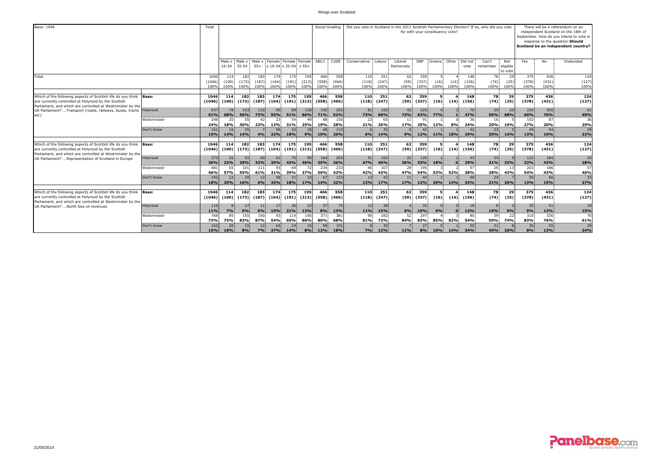| Base: 1046                                                                                                                                                                               |                         | Total                  |                      |                      |                      |                        |                                               |                      | Social Grading       |                      | Did you vote in Scotland in the 2011 Scottish Parliamentary Election? If so, who did you vote |                      |                               |                      |              | for with your constituency vote? |                       |                        |                            |                      |                      | There will be a referendum on an<br>independent Scotland on the 18th of<br>September. How do you intend to vote in<br>response to the question: Should<br>Scotland be an independent country? |
|------------------------------------------------------------------------------------------------------------------------------------------------------------------------------------------|-------------------------|------------------------|----------------------|----------------------|----------------------|------------------------|-----------------------------------------------|----------------------|----------------------|----------------------|-----------------------------------------------------------------------------------------------|----------------------|-------------------------------|----------------------|--------------|----------------------------------|-----------------------|------------------------|----------------------------|----------------------|----------------------|-----------------------------------------------------------------------------------------------------------------------------------------------------------------------------------------------|
|                                                                                                                                                                                          |                         |                        | Male x<br>$16 - 34$  | Male x<br>$35 - 54$  | Male x<br>$55+$      |                        | Female Female Female<br>x 16-34 x 35-54 x 55+ |                      | ABC1                 | C <sub>2</sub> DE    | Conservative                                                                                  | Labour               | Liberal<br>Democrats          | SNP                  | Greens       |                                  | Other Did not<br>vote | Can't<br>remember      | Not<br>eligible<br>to vote | Yes                  | No                   | Undecided                                                                                                                                                                                     |
| Total                                                                                                                                                                                    |                         | 1046<br>(1046)<br>1009 | 114<br>(100)<br>100% | 182<br>(173)<br>100% | 183<br>(187)<br>100% | 174<br>(164)<br>100%   | 175<br>(191)<br>100%                          | 195<br>(213)<br>100% | 466<br>(558)<br>100% | 558<br>(466)<br>100% | 110<br>(118)<br>100%                                                                          | 251<br>(247)<br>100% | 62<br>(59)<br>100%            | 359<br>(337)<br>100% | (16)<br>100% | (14)<br>100%                     | 148<br>(156)<br>100%  | 78<br>(74)<br>100%     | 29<br>(25)<br>100%         | 375<br>(378)<br>100% | 436<br>(431)<br>100% | 124<br>(127)<br>100%                                                                                                                                                                          |
| Which of the following aspects of Scottish life do you think Base:<br>are currently controlled at Holyrood by the Scottish<br>Parliament, and which are controlled at Westminster by the |                         | 1046<br>(1046)         | 114<br>(100)         | 182<br>(173)         | 183<br>(187)         | 174<br>(164)           | 175<br>(191)                                  | 195<br>(213)         | 466<br>(558)         | 558<br>(466)         | 110<br>(118)                                                                                  | 251<br>(247)         | 62<br>(59)                    | 359<br>(337)         | (16)         | (14)                             | 148<br>(156)          | 78<br>(74)             | 29<br>(25)                 | 375<br>(378)         | 436<br>(431)         | 124<br>(127)                                                                                                                                                                                  |
| UK Parliament?  Transport (roads, railways, buses, trams<br>etc)                                                                                                                         | Holyrood<br>Westminster | 637<br>61%<br>248      | 78<br>68%<br>20      | 103<br>56%<br>55     | 133<br>73%           | 95<br>55%<br>23        | 89<br>51%<br>54                               | 128<br>66%           | 330<br>71%<br>88     | 292<br>52%<br>156    | 81 <sup>1</sup><br>73%                                                                        | 150<br>60%<br>65     | 45 <sup>1</sup><br><b>73%</b> | 225<br>63%<br>91     | 77%          |                                  | 70<br>47%<br>36       | 39<br>50%<br>16        | 20<br>68%                  | 224<br>60%<br>103    | 305<br>70%<br>87     | 61<br>49%<br>36                                                                                                                                                                               |
|                                                                                                                                                                                          |                         | 24%                    | 18%                  | 30%                  | 23%                  | 13%                    | 31%                                           | 25%                  | 19%                  | 28%                  | 23<br>21%                                                                                     | 26%                  | 11<br><b>17%</b>              | 25%                  | 12%          | 8%                               | 24%                   | 20%                    | 16%                        | 27%                  | 20%                  | 29%                                                                                                                                                                                           |
|                                                                                                                                                                                          | Don't know              | 161<br>15%             | 16<br>14%            | 25<br>14%            | 4%                   | 56<br>32%              | 32<br><b>18%</b>                              | 18<br>9%             | 48<br>10%            | 110<br>20%           | 6%                                                                                            | 35<br>14%            | 9%                            | 12%                  | 11%          | 18%                              | 42<br>29%             | 23 <sub>1</sub><br>30% | 16%                        | 49<br>13%            | 44<br>10%            | 28<br>22%                                                                                                                                                                                     |
| Which of the following aspects of Scottish life do you think<br>are currently controlled at Holyrood by the Scottish<br>Parliament, and which are controlled at Westminster by the       | Base:                   | 1046<br>(1046)         | 114<br>(100)         | 182<br>(173)         | 183                  | 174<br>$(187)$ $(164)$ | 175<br>(191)                                  | 195<br>(213)         | 466<br>(558)         | 558<br>(466)         | 110<br>(118)                                                                                  | 251<br>(247)         | 62.<br>(59)                   | 359<br>(337)         | -51<br>(16)  | (14)                             | 148<br>(156)          | 78<br>(74)             | 29<br>(25)                 | 375<br>(378)         | 436<br>(431)         | 124<br>(127)                                                                                                                                                                                  |
| UK Parliament?  Representation of Scotland in Europe                                                                                                                                     | Holyrood                | 373<br>36%             | 26<br>23%            | 52<br>29%            | 60<br>33%            | 61<br>35%              | 75<br>43%                                     | 90<br>46%            | 164<br>35%           | 203<br>36%           | 51<br>47%                                                                                     | 102<br>40%           | 22<br>36%                     | 120<br>33%           | 18%          |                                  | 43<br>29%             | 24<br>31%              | 32%                        | 122<br>32%           | 184<br>42%           | 34<br>28%                                                                                                                                                                                     |
|                                                                                                                                                                                          | Westminster             | 481<br>46%             | 65<br>57%            | 101<br>55%           | 111<br>61%           | 31%                    | 39%                                           | 37%                  | 234<br>50%           | 233<br>42%           | 42%                                                                                           | 107<br>43%           | 29<br>47%                     | 195<br><b>54%</b>    | 53%          | 52%                              | 57<br>38%             | 29<br>38%              | 43%                        | 203<br>54%           | 186<br>43%           | 57<br>46%                                                                                                                                                                                     |
|                                                                                                                                                                                          | Don't know              | 192<br>18%             | 22<br>20%            | 29<br>16%            | 12<br>6%             | 33%                    | 18%                                           | 17%                  | 67<br>14%            | 123<br>22%           | 13<br>12%                                                                                     | 42<br>17%            | 11!<br><b>17%</b>             | 12%                  | 29%          | 14%                              | 33%                   | 24<br>31%              | 25%                        | 50<br>13%            | 66<br>15%            | 33<br>27%                                                                                                                                                                                     |
| Which of the following aspects of Scottish life do you think<br>are currently controlled at Holyrood by the Scottish<br>Parliament, and which are controlled at Westminster by the       | <b>Base:</b>            | 1046<br>(1046)         | 114<br>(100)         | 182<br>(173)         | 183                  | 174<br>$(187)$ $(164)$ | 175<br>(191)                                  | 195<br>(213)         | 466<br>(558)         | 558<br>(466)         | 110<br>(118)                                                                                  | 251<br>(247)         | 62.<br>(59)                   | 359<br>(337)         | 5<br>(16)    | (14)                             | 148<br>(156)          | 78<br>(74)             | 29<br>(25)                 | 375<br>(378)         | 436<br>(431)         | 124<br>(127)                                                                                                                                                                                  |
| UK Parliament?  North Sea oil revenues                                                                                                                                                   | Holyrood                | 116<br>11%             | 7%                   | 17<br>9%             | -11<br>6%            | 10%                    | 21%                                           | 23<br>12%            | 37<br>8%             | 75<br>13%            | 12<br>11%                                                                                     | 38<br>15%            | 6%                            | 35<br>10%            | 6%           |                                  | 18<br>12%             | 10%                    | 0%                         | 35<br>9%             | 51<br>12%            | 19<br>15%                                                                                                                                                                                     |
|                                                                                                                                                                                          | Westminster             | 768<br>73%             | 85<br>75%            | 150<br>82%           | 160<br>87%           | 93<br>54%              | 114<br>65%                                    | 156<br>80%           | 371<br>80%           | 381<br>68%           | 90<br>81%                                                                                     | 182<br>73%           | 52<br>84%                     | 297<br>83%           | 85%          | 82%                              | 80<br>54%             | 39<br>50%              | <b>74%</b>                 | 310<br>83%           | 330<br>76%           | 76<br>61%                                                                                                                                                                                     |
|                                                                                                                                                                                          | Don't know              | 162<br>15%             | 20<br>18%            | 15<br>8%             | 12<br>7%             | 64<br>37%              | 24<br>14%                                     | 16                   | 58<br>12%            | 101<br>18%           | 7%                                                                                            | 30<br>12%            | <b>11%</b>                    | 27<br>8%             | 10%          | 14%                              | 50<br>34%             | 31<br>40%              | 26%                        | 30<br>8%             | 55<br>13%            | 29<br>24%                                                                                                                                                                                     |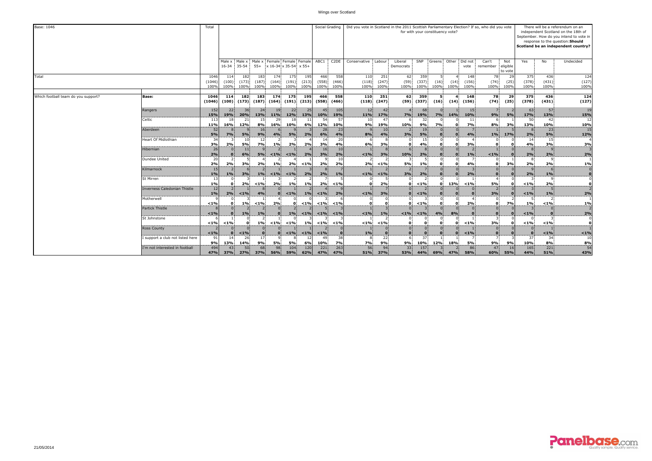| Base: 1046                          |                                     | Total                  |                      |                      |                      |                        |                                               |                                |                       | Social Grading       | Did you vote in Scotland in the 2011 Scottish Parliamentary Election? If so, who did you vote |                       |                        |                      |                          | for with your constituency vote? |                              |                    |                            |                      |                      | There will be a referendum on an<br>independent Scotland on the 18th of<br>September. How do you intend to vote in<br>response to the question: Should<br>Scotland be an independent country? |
|-------------------------------------|-------------------------------------|------------------------|----------------------|----------------------|----------------------|------------------------|-----------------------------------------------|--------------------------------|-----------------------|----------------------|-----------------------------------------------------------------------------------------------|-----------------------|------------------------|----------------------|--------------------------|----------------------------------|------------------------------|--------------------|----------------------------|----------------------|----------------------|-----------------------------------------------------------------------------------------------------------------------------------------------------------------------------------------------|
|                                     |                                     |                        | Male x<br>$16 - 34$  | Male x<br>$35 - 54$  | Male x<br>$55+$      |                        | Female Female Female<br>x 16-34 x 35-54 x 55+ |                                | ABC1                  | C <sub>2</sub> DE    | Conservative Labour                                                                           |                       | Liberal<br>Democrats   | SNP                  |                          |                                  | Greens Other Did not<br>vote | Can't<br>remember  | Not<br>eligible<br>to vote | Yes                  | No                   | Undecided                                                                                                                                                                                     |
| Total                               |                                     | 1046<br>(1046)<br>100% | 114<br>(100)<br>100% | 182<br>(173)<br>100% | 183<br>(187)<br>100% | 174<br>(164)<br>100%   | 175<br>(191)<br>100%                          | 195<br>(213)<br>100%           | 466<br>(558)<br>100%  | 558<br>(466)<br>100% | 110<br>(118)<br>100%                                                                          | 251<br>(247)<br>100%  | 62<br>(59)<br>100%     | 359<br>(337)<br>100% | (16)<br>100%             | (14)<br>100%                     | 148<br>(156)<br>100%         | 78<br>(74)<br>100% | 29<br>(25)<br>100%         | 375<br>(378)<br>100% | 436<br>(431)<br>100% | 124<br>(127)<br>100%                                                                                                                                                                          |
| Which football team do you support? | Base:                               | 1046<br>(1046)         | 114<br>(100)         | 182<br>(173)         | 183                  | 174<br>$(187)$ $(164)$ | 175                                           | 195<br>$(191)$ $(213)$ $(558)$ | 466                   | 558<br>(466)         | 110<br>(118)                                                                                  | 251<br>(247)          | 62<br>(59)             | 359<br>(337)         | -51<br>(16)              | (14)                             | 148<br>(156)                 | 78<br>(74)         | 29<br>(25)                 | 375<br>(378)         | 436<br>(431)         | 124<br>(127)                                                                                                                                                                                  |
|                                     | Rangers                             | 152<br>15%             | 22<br>19%            | 36<br>20%            | 24<br>13%            | 19<br>$11\%$           | 22<br>12%                                     | 25<br>13%                      | 45<br><b>10%</b>      | 105<br>19%           | 12<br>11%                                                                                     | 42<br>17%             | 7%                     | 68<br>19%            | 7%                       | <b>14%</b>                       | 15<br>10%                    | 9%                 | 5%                         | 63<br>17%            | 57<br>13%            | 19<br>15%                                                                                                                                                                                     |
|                                     | Celtic                              | 113<br>11%             | 16%                  | 12%                  | 15<br>8%             | 29<br>16%              | 18<br>10%                                     | 6%                             | 54<br>12%             | 57<br>10%            | 10<br>9%                                                                                      | 47<br>19%             | 10%                    | 32<br>9%             | <b>7%</b>                |                                  | 11<br>7%                     | 8%                 | 3%                         | 50<br>13%            | 42<br>10%            | 12<br>10%                                                                                                                                                                                     |
|                                     | Aberdeen                            | 52<br>5%               | 7%                   | 5%                   | <b>16</b><br>9%      | 4%                     | 5%                                            | 2%                             | 28<br>6%              | 23<br>4%             | 8%                                                                                            | 10 <sub>1</sub><br>4% | 3%                     | 19<br>5%             | $\Omega$                 |                                  | 4%                           | 1%                 | 17%                        | 2%                   | 23<br>5%             | 15<br>12%                                                                                                                                                                                     |
|                                     | Heart Of Midlothian                 | 34<br>3%               | 2%                   | 10<br>5%             | 12<br>7%             | 1%                     | 2%                                            | 2%                             | 14<br>3%              | 20<br>4%             | 6%                                                                                            | 3%                    | <sup>0</sup>           | 15<br>4%             | 0<br>$\Omega$            | $\Omega$                         | 3%                           |                    |                            | 14<br>4%             | 15<br>3%             | <b>3%</b>                                                                                                                                                                                     |
|                                     | Hibernian                           | 26<br>2%               |                      | 11<br>6%             | 5%                   | $< 1\%$                | $< 1\%$                                       | 2%                             | 16<br>3%              | 10<br>2%             | $< 1\%$                                                                                       | 3%                    | 10%                    | 2%                   | $\overline{0}$           |                                  | 1%                           | $< 1\%$            |                            | 2%                   | 2%                   | 2%                                                                                                                                                                                            |
|                                     | Dundee United                       | 20<br>2%               | 2%                   | 3%                   | 2%                   | 1%                     | 2%                                            | $< 1\%$                        | 2%                    | -10<br>2%            | 2%                                                                                            | $< 1\%$               | 5%                     | 1%                   | $\mathbf{o}$             | $\Omega$                         | 4%                           |                    | 3%                         | 2%                   | 2%                   | <b>1%</b>                                                                                                                                                                                     |
|                                     | Kilmarnock                          | 15<br>1%               | 1%                   | 3%                   | $1\%$                | $< 1\%$                | $< 1\%$                                       | 2%                             | 2%                    | 1%                   | $< 1\%$                                                                                       | $< 1\%$               | 3%                     | 2%                   |                          |                                  | 2%                           |                    |                            | 2%                   | 1%                   | $\overline{0}$<br>$\bf{0}$                                                                                                                                                                    |
|                                     | St Mirren                           | 13<br>1%               | $\Omega$             | 2%                   | < 1%                 | 2%                     | 1%                                            | 1%                             | 2%                    | 1%                   | $\Omega$                                                                                      | 2%                    | 0.                     | $< 1\%$              | $\bullet$                | 13%                              | $< 1\%$                      | <b>5%</b>          |                            | < 1%                 | $\mathbf{Q}$<br>2%   | $\Omega$<br>$\overline{\mathbf{0}}$                                                                                                                                                           |
|                                     | <b>Inverness Caledonian Thistle</b> | 12<br>1%               | 2%                   | $1\%$                | 4%                   |                        | $< 1\%$                                       | 1%                             | $< 1\%$               | 2%                   | $< 1\%$                                                                                       | 3%                    |                        | $< 1\%$              |                          |                                  |                              | 3%                 |                            | < 1%                 | 1%                   | $\overline{2}$<br>2%                                                                                                                                                                          |
|                                     | Motherwell                          | $< 1\%$                |                      | 1%                   | $< 1\%$              | 2%                     | $\mathbf{0}$                                  | $< 1\%$                        | $< 1\%$               | < 1%                 | O                                                                                             |                       | n.                     | $< 1\%$              | $\Omega$<br>$\mathbf{0}$ | $\Omega$                         | 2%                           | $\Omega$           | 7%                         | 1%                   | $< 1\%$              | <b>1%</b>                                                                                                                                                                                     |
|                                     | <b>Partick Thistle</b>              | < 1%                   |                      | 1%                   | 1%                   |                        | 1%                                            | $< 1\%$                        | $< 1\%$               | $1\%$                | $< 1\%$                                                                                       | 1%                    | $< 1\%$                | $< 1\%$              | $\Omega$<br>4%           | 8%                               |                              |                    |                            | < 1%                 |                      | 2%                                                                                                                                                                                            |
|                                     | St Johnstone                        | $< 1\%$                | $< 1\%$              |                      | 1%                   | $< 1\%$                | < 1%                                          | 1%                             | $< 1\%$               | < 1%                 | $< 1\%$                                                                                       | $< 1\%$               |                        | $\mathbf{0}$         | $\mathbf{0}$             | $\mathbf{0}$                     | $< 1\%$                      | 3%                 | $\Omega$                   | $< 1\%$              | $< 1\%$              | $\Omega$<br>$\mathbf{o}$                                                                                                                                                                      |
|                                     | <b>Ross County</b>                  | 1%                     |                      | < 1%                 | 0 <sup>1</sup>       |                        | $< 1\%$                                       | $< 1\%$                        | $< 1\%$               |                      | 1%                                                                                            |                       | $\Omega$               |                      | $\Omega$                 |                                  | $< 1\%$                      |                    |                            |                      | < 1%                 | $< 1\%$                                                                                                                                                                                       |
|                                     | support a club not listed here      | 91<br>9%               | -14<br>13%           | 26<br>14%            | 17<br>9%             | 5%                     | 5%                                            | 6%                             | 4 <sup>c</sup><br>10% | 38<br>7%             | 7%                                                                                            | 22<br>9%              | 9%                     | 37<br>10%            | 12%                      | 18%                              | <b>5%</b>                    | 9%                 | 9%                         | 37<br>10%            | 34<br>8%             | 10<br>8%                                                                                                                                                                                      |
|                                     | I'm not interested in football      | 494<br>47%             | 43<br>37%            | 50<br>27%            | 68<br>37%            | 98<br>56%              | 104<br>59%                                    | 120<br>62%                     | 221<br>47%            | 263<br>47%           | 56<br>51%                                                                                     | 94<br>37%             | 33 <sup>1</sup><br>53% | 157<br>44%           | 69%                      | 47%                              | 86<br>58%                    | 47<br>60%          | 16<br>55%                  | 165<br>44%           | 221<br>51%           | 54<br>43%                                                                                                                                                                                     |

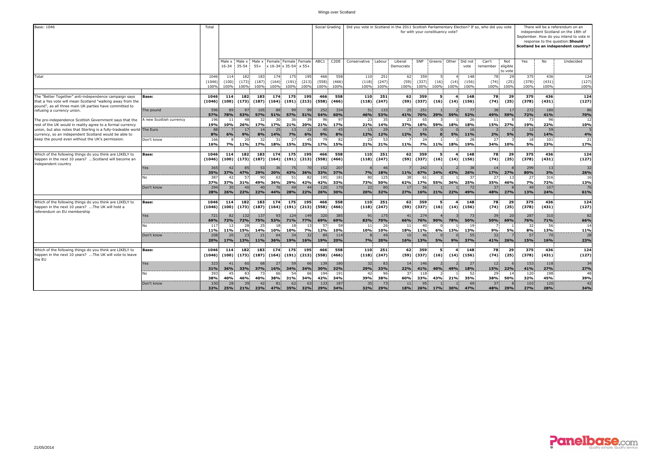| Base: 1046                                                                                                                                                                                     |                                      | Total                  |                        |                      |                      |                              |                                       |                        |                      | Social Grading       | Did you vote in Scotland in the 2011 Scottish Parliamentary Election? If so, who did you vote |                               |                                           |                         |                   | for with your constituency vote? |                      |                              |                            |                      |                      | There will be a referendum on an<br>independent Scotland on the 18th of<br>September. How do you intend to vote in<br>response to the question: Should<br>Scotland be an independent country? |
|------------------------------------------------------------------------------------------------------------------------------------------------------------------------------------------------|--------------------------------------|------------------------|------------------------|----------------------|----------------------|------------------------------|---------------------------------------|------------------------|----------------------|----------------------|-----------------------------------------------------------------------------------------------|-------------------------------|-------------------------------------------|-------------------------|-------------------|----------------------------------|----------------------|------------------------------|----------------------------|----------------------|----------------------|-----------------------------------------------------------------------------------------------------------------------------------------------------------------------------------------------|
|                                                                                                                                                                                                |                                      |                        | Male x<br>$16 - 34$    | Male x<br>$35 - 54$  | Male x<br>$55+$      | Female                       | Female Femal<br>x 16-34 x 35-54 x 55+ |                        | ABC1                 | C <sub>2</sub> DE    | Conservative                                                                                  | Labour                        | Liberal<br>Democrats                      | SNP                     | Greens            | Other                            | Did not<br>vote      | Can't<br>remember            | Not<br>eligible<br>to vote | Yes                  | No                   | Undecided                                                                                                                                                                                     |
| Total                                                                                                                                                                                          |                                      | 1046<br>(1046)<br>100% | 114<br>(100)<br>100%   | 182<br>(173)<br>100% | 183<br>(187)<br>100% | 174<br>(164)<br>100%         | 175<br>(191)<br>100%                  | 195<br>(213)<br>100%   | 466<br>(558)<br>100% | 558<br>(466)<br>100% | 110<br>(118)<br>100%                                                                          | 251<br>(247)<br>100%          | 62<br>(59)<br>100%                        | 359<br>(337)<br>100%    | (16)<br>100%      | (14)<br>100%                     | 148<br>(156)<br>100% | 78<br>(74)<br>100%           | 29<br>(25)<br>100%         | 375<br>(378)<br>100% | 436<br>(431)<br>100% | 124<br>(127)<br>100%                                                                                                                                                                          |
| The "Better Together" anti-independence campaign says<br>that a Yes vote will mean Scotland "walking away from the<br>pound", as all three main UK parties have committed to                   | Base:                                | 1046<br>(1046)         | 114<br>(100)           | 182<br>(173)         | 183<br>(187)         | 174<br>(164)                 | 175<br>(191)                          | 195<br>(213)           | 466<br>(558)         | 558<br>(466)         | 110<br>(118)                                                                                  | 251<br>(247)                  | 62<br>(59)                                | 359<br>(337)            | -5<br>(16)        | (14)                             | 148<br>(156)         | 78<br>(74)                   | 29<br>(25)                 | 375<br>(378)         | 436<br>(431)         | 124<br>(127)                                                                                                                                                                                  |
| refusing a currency union.<br>The pro-independence Scottish Government says that the                                                                                                           | The pound<br>A new Scottish currency | 596<br>57%<br>196      | 89<br>78%<br>11        | 97<br>53%<br>48      | 105<br>57%<br>32     | 89<br>51%<br>30 <sup>1</sup> | 99<br>57%<br>36                       | 99<br>51%              | 252<br>54%<br>96     | 334<br>60%<br>97     | 51<br>46%<br>23                                                                               | 133<br>53%<br>35 <sup>1</sup> | 25<br>41%<br>23                           | 251<br><b>70%</b><br>65 | 29%               | 59%                              | 77<br>52%<br>26      | 38<br>49%<br>11              | 17<br>59%                  | 272<br>72%<br>73     | 180<br>41%<br>96     | 86<br><b>70%</b><br>12                                                                                                                                                                        |
| rest of the UK would in reality agree to a formal currency<br>union, but also notes that Sterling is a fully-tradeable world The Euro<br>currency, so an independent Scotland would be able to |                                      | 19%<br>88<br>8%        | 10%<br>6%              | 26%<br>17<br>9%      | 17%<br>14<br>8%      | 17%<br>25<br><b>14%</b>      | 21%<br>13 <sup>1</sup><br><b>7%</b>   | 20%<br>12<br>6%        | 21%<br>40<br>9%      | 17%<br>45<br>8%      | 21%<br>13<br>12%                                                                              | 14%<br>29<br>12%              | 37%<br><b>12%</b>                         | 18%<br>19<br>5%         | 59%<br>$\Omega$   | 18%<br>5%                        | 18%<br>16<br>11%     | 15%<br>2%                    | 27%<br><b>5%</b>           | 19%<br>12<br>3%      | 22%<br>59<br>14%     | 10%<br>4%                                                                                                                                                                                     |
| keep the pound even without the UK's permission.<br>Which of the following things do you think are LIKELY to                                                                                   | Don't know                           | 166<br>16%<br>1046     | 7%<br>114              | 20<br>11%<br>182     | 32<br>17%<br>183     | 31<br>18%<br>174             | 27<br>15%<br>175                      | 45<br>23%<br>195       | 79<br>17%<br>466     | 82<br>15%<br>558     | 23<br>21%<br>110                                                                              | 53<br>21%<br>251              | 11%<br>62                                 | 24<br><b>7%</b><br>359  | 11%<br>-5         | 18%                              | 28<br>19%<br>148     | 27<br>34%<br>78              | 10%<br>29                  | 18<br>5%<br>375      | 101<br>23%<br>436    | 21<br>17%<br>124                                                                                                                                                                              |
| happen in the next 10 years? Scotland will become an<br>independent country                                                                                                                    | Base:<br>Yes                         | (1046)<br>365          | (100)<br>42            | (173)<br>85          | (187)<br>53          | (164)<br>36                  | 75                                    | $(191)$ $(213)$<br>70  | (558)<br>152         | (466)<br>207         | (118)                                                                                         | (247)<br>46                   | (59)                                      | (337)<br>242            | (16)              | (14)                             | (156)<br>38          | (74)<br>14                   | (25)                       | (378)<br>299         | (431)<br>13          | (127)<br>32                                                                                                                                                                                   |
|                                                                                                                                                                                                | No                                   | 35%<br>387<br>37%      | 37%<br>37%             | 47%<br>-57<br>31%    | 29%<br>49%           | 20%<br>36%                   | 43%<br>51<br>29%                      | 36%<br>42%             | 33%<br>195<br>42%    | 37%<br>181<br>33%    | 7%<br>80<br>73%                                                                               | 18%<br>125<br>50%             | 11%<br>38.<br>62%                         | 67%<br>61<br>17%        | 24%<br>55%        | 43%<br>36%                       | 26%<br>-37<br>25%    | 17%<br>27<br>35%             | 27%<br>46%                 | 80%<br>27<br>7%      | 3%<br>316<br>72%     | 26%<br>16<br>13%                                                                                                                                                                              |
|                                                                                                                                                                                                | Don't know                           | 294<br>28%             | 30 <sup>1</sup><br>26% | 40<br>22%            | 40<br>22%            | 76.<br>44%                   | 49<br>28%                             | 22%                    | 120<br>26%           | 170<br>30%           | 22<br>20%                                                                                     | 80<br>32%                     | 17 <sup>1</sup><br>27%                    | 56<br>16%               | 21%               | 22%                              | 72<br>49%            | 37<br>48%                    | 27%                        | 49<br>13%            | 107<br>24%           | 76<br>61%                                                                                                                                                                                     |
| Which of the following things do you think are LIKELY to<br>happen in the next 10 years? The UK will hold a<br>referendum on EU membership                                                     | Base:                                | 1046<br>(1046)         | 114<br>(100)           | 182<br>(173)         | 183<br>(187)         | 174<br>(164)                 | 175                                   | 195<br>$(191)$ $(213)$ | 466<br>(558)         | 558<br>(466)         | 110<br>(118)                                                                                  | 251<br>(247)                  | 62.<br>(59)                               | 359<br>(337)            | 5<br>(16)         | (14)                             | 148<br>(156)         | 78<br>(74)                   | 29<br>(25)                 | 375<br>(378)         | 436<br>(431)         | 124<br>(127)                                                                                                                                                                                  |
|                                                                                                                                                                                                | Yes<br>No                            | 721<br>69%<br>117      | 82<br>72%<br>12        | 132<br>72%<br>28     | 137<br>75%<br>25     | 931<br>53%<br>18             | 124<br>71%<br>18                      | 149<br>77%<br>13       | 320<br>69%<br>57     | 385<br>69%<br>59     | 91<br>83%<br>11                                                                               | 175<br>70%<br>26              | 41 <sup>1</sup><br>66%<br>11 <sup>1</sup> | 274<br>76%<br>40        | 90%               | 78%                              | 73<br>50%<br>19      | 39<br>50%                    | 20<br>69%                  | 287<br>76%<br>32     | 310<br>71%<br>56     | 82<br>66%<br>14                                                                                                                                                                               |
|                                                                                                                                                                                                | Don't know                           | 11%<br>208<br>20%      | 11%<br>20<br>17%       | 15%<br>23<br>13%     | 14%<br>21<br>11%     | 10%<br>64<br>36%             | 10%<br>34<br>19%                      | <b>7%</b><br>32<br>16% | 12%<br>89<br>19%     | 10%<br>114<br>20%    | 10%<br>7%                                                                                     | 10%<br>49<br>20%              | 18%<br>10 <sup>1</sup><br>16%             | 11%<br>46<br>13%        | 6%<br>5%          | 13%<br>9%                        | 13%<br>55<br>37%     | 9%<br>32<br>41%              | 5%<br>26%                  | 8%<br>57<br>15%      | 13%<br>70<br>16%     | 11%<br>28<br>23%                                                                                                                                                                              |
| Which of the following things do you think are LIKELY to<br>happen in the next 10 years? The UK will vote to leave<br>the EU                                                                   | Base:                                | 1046<br>(1046)         | 114<br>(100)           | 182<br>(173)         | 183<br>(187)         | 174<br>(164)                 | 175<br>(191)                          | 195<br>(213)           | 466<br>(558)         | 558<br>(466)         | 110<br>(118)                                                                                  | 251<br>(247)                  | 62<br>(59)                                | 359<br>(337)            | 5<br>(16)         | (14)                             | 148<br>(156)         | 78<br>(74)                   | 29<br>(25)                 | 375<br>(378)         | 436<br>(431)         | 124<br>(127)                                                                                                                                                                                  |
|                                                                                                                                                                                                | Yes<br>No                            | 323<br>31%<br>393      | 41<br>36%<br>45        | 33%<br>83            | 37%<br>73            | 27<br><b>16%</b><br>66       | 59<br>34%<br>54                       | 66<br>34%              | 139<br>30%<br>194    | 180<br>32%<br>191    | 32<br>29%<br>42                                                                               | 83<br>33%<br>96               | 14<br>22%<br>37                           | 146<br>41%<br>118       | 40%               | 49%                              | 27<br>18%<br>52      | 12 <sup>1</sup><br>15%<br>29 | 22%                        | 153<br>41%<br>120    | 118<br>27%<br>198    | 34<br>27%<br>48                                                                                                                                                                               |
|                                                                                                                                                                                                | Don't know                           | 38%<br>330<br>32%      | 40%<br>28<br>25%       | 46%<br>39<br>21%     | 40%<br>42<br>23%     | 38%<br>81<br>47%             | 31%<br>62<br>35%                      | 34%<br>63<br>32%       | 42%<br>133<br>29%    | 34%<br>187<br>34%    | 39%<br>35<br>32%                                                                              | 38%<br>73<br>29%              | 60%<br>11<br>18%                          | 33%<br>95<br>26%        | 43%<br><b>17%</b> | 21%<br>30%                       | 35%<br>69<br>47%     | 38%<br>37<br>48%             | 50%<br>29%                 | 32%<br>103<br>27%    | 45%<br>120<br>28%    | 39%<br>42<br>34%                                                                                                                                                                              |

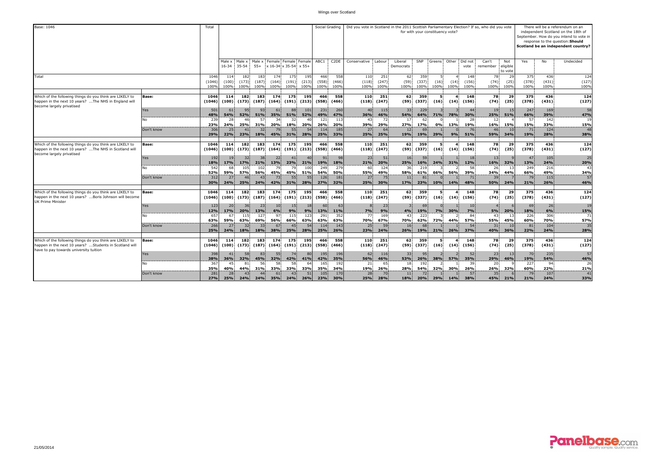| Base: 1046                                                                                                                                                   |              | Total                  |                      |                      |                      |                                                      |                              |                        |                         | Social Grading               | Did you vote in Scotland in the 2011 Scottish Parliamentary Election? If so, who did you vote |                      |                               |                      | for with your constituency vote? |              |                      |                               |                            |                      |                      | There will be a referendum on an<br>independent Scotland on the 18th of<br>September. How do you intend to vote in<br>response to the question: Should<br>Scotland be an independent country? |
|--------------------------------------------------------------------------------------------------------------------------------------------------------------|--------------|------------------------|----------------------|----------------------|----------------------|------------------------------------------------------|------------------------------|------------------------|-------------------------|------------------------------|-----------------------------------------------------------------------------------------------|----------------------|-------------------------------|----------------------|----------------------------------|--------------|----------------------|-------------------------------|----------------------------|----------------------|----------------------|-----------------------------------------------------------------------------------------------------------------------------------------------------------------------------------------------|
|                                                                                                                                                              |              |                        | Male x<br>16-34      | Male x<br>$35 - 54$  | $55+$                | Male x Female Female Female<br>x 16-34 x 35-54 x 55+ |                              |                        | ABC1                    | C <sub>2</sub> DE            | Conservative Labour                                                                           |                      | Liberal<br>Democrats          | SNP                  | Greens Other Did not             |              | vote                 | Can't<br>remember             | Not<br>eligible<br>to vote | Yes                  | No                   | Undecided                                                                                                                                                                                     |
| Total                                                                                                                                                        |              | 1046<br>(1046)<br>100% | 114<br>(100)<br>100% | 182<br>(173)<br>100% | 183<br>(187)<br>100% | 174<br>(164)<br>100%                                 | 175<br>(191)<br>100%         | 195<br>(213)<br>100%   | 466<br>(558)<br>100%    | 558<br>(466)<br>100%         | 110<br>(118)<br>100%                                                                          | 251<br>(247)<br>100% | 62<br>(59)<br>100%            | 359<br>(337)<br>100% | 5<br>(16)<br>100%                | (14)<br>100% | 148<br>(156)<br>100% | 78<br>(74)<br>100%            | 29<br>(25)<br>100%         | 375<br>(378)<br>100% | 436<br>(431)<br>100% | 124<br>(127)<br>100%                                                                                                                                                                          |
| Which of the following things do you think are LIKELY to<br>happen in the next 10 years? The NHS in England will<br>become largely privatised                | Base:        | 1046<br>(1046)         | 114<br>(100)         | 182<br>(173)         | 183<br>(187)         | 174<br>(164)                                         | 175<br>(191)                 | 195<br>(213)           | 466<br>(558)            | 558<br>(466)                 | 110<br>(118)                                                                                  | 251<br>(247)         | 62<br>(59)                    | 359<br>(337)         | 5<br>(16)                        | (14)         | 148<br>(156)         | 78<br>(74)                    | 29<br>(25)                 | 375<br>(378)         | 436<br>(431)         | 124<br>(127)                                                                                                                                                                                  |
|                                                                                                                                                              | Yes<br>No    | 501<br>48%<br>239      | 61<br>54%<br>28      | 52%<br>46            | 93<br>51%<br>57      | 61<br>35%<br>34                                      | 51%<br>32                    | 101<br>52%             | 231<br>49%<br>121       | 260<br>47%<br>113            | 40 <sup>1</sup><br>36%<br>43                                                                  | 115<br>46%<br>72     | 33<br>54%<br>17               | 229<br>64%<br>62     | <b>71%</b>                       | <b>78%</b>   | 44<br>30%<br>28      | 19<br>25%<br>12               | 15<br>51%                  | 247<br>66%<br>57     | 169<br>39%<br>142    | 58<br>47%<br>19                                                                                                                                                                               |
|                                                                                                                                                              | Don't know   | 23%<br>306<br>29%      | 24%<br>25<br>22%     | 25%<br>41<br>23%     | 31%<br>32<br>18%     | 20%<br>45%                                           | 18%<br>55<br>31%             | 20%<br>28%             | 26%<br>114<br>25%       | 20%<br>185<br>33%            | 39%<br>27<br>25%                                                                              | 29%<br>64<br>25%     | 27%<br>12<br>19%              | 17%<br>69<br>19%     | 0%<br>29%                        | 13%<br>9%    | 19%<br>76<br>51%     | 16%<br>46<br>59%              | 15%<br>34%                 | 15%<br>71<br>19%     | 33%<br>124<br>28%    | 15%<br>48<br>38%                                                                                                                                                                              |
| Which of the following things do you think are LIKELY to<br>happen in the next 10 years? The NHS in Scotland will<br>become largely privatised               | Base:        | 1046<br>(1046)         | 114<br>(100)         | 182<br>(173)         | 183                  | 174<br>$(187)$ $(164)$                               | 175                          | 195<br>$(191)$ $(213)$ | 466<br>(558)            | 558<br>(466)                 | 110<br>(118)                                                                                  | 251<br>(247)         | 62.<br>(59)                   | 359<br>(337)         | -51<br>(16)                      | (14)         | 148<br>(156)         | 78<br>(74)                    | 29<br>(25)                 | 375<br>(378)         | 436<br>(431)         | 124<br>(127)                                                                                                                                                                                  |
|                                                                                                                                                              | Yes<br>No    | 192<br>18%<br>542      | 19<br>17%<br>68      | 32<br>17%<br>105     | 21%<br>102           | 22<br>13%<br>- 79                                    | 41<br>23%<br>79              | 40<br>21%<br>100       | 91<br><b>19%</b><br>249 | 18%<br>279                   | 23<br>21%<br>60                                                                               | 51<br>20%<br>124     | 16.<br>25%<br>36              | 16%<br>219           | 24%                              | 31%          | 18<br>12%<br>58      | 13<br>16%<br>26               | 32%                        | 47<br>13%<br>249     | 105<br>24%<br>216    | 25<br>20%<br>43                                                                                                                                                                               |
|                                                                                                                                                              | Don't know   | 52%<br>312<br>30%      | 59%<br>27<br>24%     | 57%<br>46<br>25%     | 56%<br>43<br>24%     | 45%<br>73<br>42%                                     | 45%<br>55<br>31%             | 51%<br>55<br>28%       | 54%<br>126<br>27%       | 50%<br>181<br>32%            | 55%<br>27<br>25%                                                                              | 49%<br>75<br>30%     | 58%<br>11 <sup>1</sup><br>17% | 61%<br>81<br>23%     | 66%<br>10%                       | 56%<br>14%   | 39%<br>71<br>48%     | 34%<br>39<br>50%              | 44%<br>24%                 | 66%<br>79<br>21%     | 49%<br>115<br>26%    | 34%<br>57<br>46%                                                                                                                                                                              |
| Which of the following things do you think are LIKELY to<br>happen in the next 10 years? Boris Johnson will become<br><b>UK Prime Minister</b>               | <b>Base:</b> | 1046<br>(1046)         | 114<br>(100)         | 182<br>(173)         | 183<br>(187)         | 174<br>(164)                                         | 175                          | 195<br>$(191)$ $(213)$ | 466<br>(558)            | 558<br>(466)                 | 110<br>(118)                                                                                  | 251<br>(247)         | 62.<br>(59)                   | 359<br>(337)         | 5.<br>(16)                       | (14)         | 148<br>(156)         | 78<br>(74)                    | 29<br>(25)                 | 375<br>(378)         | 436<br>(431)         | 124<br>(127)                                                                                                                                                                                  |
|                                                                                                                                                              | Yes<br>N٥    | 123<br>12%<br>657      | 20<br>17%<br>67      | 36<br>20%<br>115     | 23<br>13%<br>127     | 10<br>6%<br>97                                       | 15 <sup>1</sup><br>9%<br>115 | 18<br>9%<br>123        | 60<br>13%<br>291        | 6 <sup>5</sup><br>11%<br>352 | 7%<br>77                                                                                      | 23<br>9%<br>169      | 4%<br>43                      | 69<br>19%<br>223     | 7%                               | 30%          | 10<br>7%<br>84       | 5%<br>43                      | 20%                        | 69<br>18%<br>226     | 26<br>6%<br>306      | 19<br>15%<br>71                                                                                                                                                                               |
|                                                                                                                                                              | Don't know   | 63%<br>266<br>25%      | 59%<br>27<br>24%     | 63%<br>32<br>18%     | 69%<br>33<br>18%     | 56%<br>67<br>38%                                     | 66%<br>45<br>25%             | 63%<br>28%             | 63%<br>114<br>25%       | 63%<br>143<br>26%            | 70%<br>25<br>23%                                                                              | 67%<br>59<br>24%     | 70%<br>16<br>26%              | 62%<br>68<br>19%     | 72%<br>21%                       | 44%<br>26%   | 57%<br>54<br>37%     | 55%<br>31<br>40%              | 45%<br>10<br>36%           | 60%<br>81<br>22%     | 70%<br>104<br>24%    | 57%<br>35<br>28%                                                                                                                                                                              |
| Which of the following things do you think are LIKELY to<br>happen in the next 10 years? Students in Scotland will<br>have to pay towards university tuition | Base:        | 1046<br>(1046)         | 114<br>(100)         | 182<br>(173)         | 183<br>(187)         | 174<br>(164)                                         | 175<br>(191)                 | 195<br>(213)           | 466<br>(558)            | 558<br>(466)                 | 110<br>(118)                                                                                  | 251<br>(247)         | 62<br>(59)                    | 359<br>(337)         | 5<br>(16)                        | (14)         | 148<br>(156)         | 78<br>(74)                    | 29<br>(25)                 | 375<br>(378)         | 436<br>(431)         | 124<br>(127)                                                                                                                                                                                  |
|                                                                                                                                                              | Yes<br>N٥    | 398<br>38%<br>367      | 41<br>36%<br>45      | 58<br>32%<br>81      | 83<br>45%<br>56      | 32%<br>58                                            | 74<br>42%<br>58              | 80<br>41%              | 195<br>42%<br>165       | 196<br>35%<br>192            | 62<br>56%<br>21                                                                               | 116<br>46%<br>65     | 33 <sup>1</sup><br>53%<br>18  | 95<br>26%<br>192     | 38%                              | 57%          | 52<br>35%<br>39      | 23<br>29%<br>20               | 13<br>46%                  | 70<br>19%<br>227     | 235<br>54%<br>94     | 57<br>46%<br>26                                                                                                                                                                               |
|                                                                                                                                                              | Don't know   | 35%<br>281<br>27%      | 40%<br>28<br>25%     | 44%<br>43<br>24%     | 31%<br>44<br>24%     | 33%<br>61<br>35%                                     | 33%<br>43.<br>24%            | 33%<br>51<br>26%       | 35%<br>105<br>23%       | 34%<br>170<br>30%            | 19%<br>28<br>25%                                                                              | 26%<br>70<br>28%     | 28%<br>11<br>18%              | 54%<br>72<br>20%     | 32%<br>29%                       | 30%<br>14%   | 26%<br>57<br>38%     | 26%<br>35 <sub>1</sub><br>45% | 32%<br>21%                 | 60%<br>79<br>21%     | 22%<br>107<br>24%    | 21%<br>41<br>33%                                                                                                                                                                              |

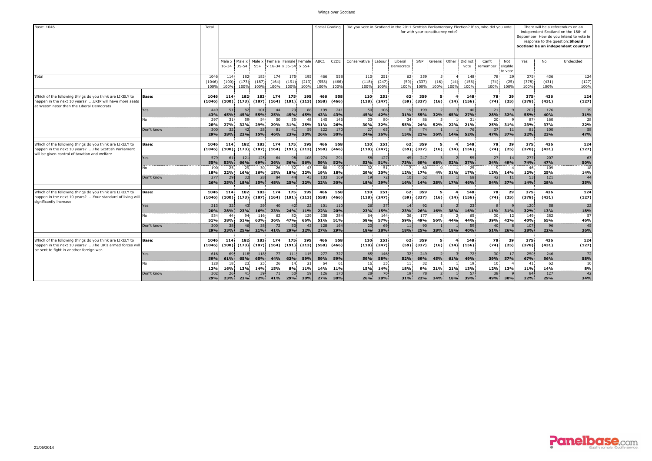| Base: 1046                                                                                                                                                        |            | Total                  |                      |                                                          |                        |                        |                        |                        | Social Grading       |                      | Did you vote in Scotland in the 2011 Scottish Parliamentary Election? If so, who did you vote |                      |                        |                      |                   | for with your constituency vote? |                       |                    |                            |                      |                      | There will be a referendum on an<br>independent Scotland on the 18th of<br>September. How do you intend to vote in<br>response to the question: Should<br>Scotland be an independent country? |
|-------------------------------------------------------------------------------------------------------------------------------------------------------------------|------------|------------------------|----------------------|----------------------------------------------------------|------------------------|------------------------|------------------------|------------------------|----------------------|----------------------|-----------------------------------------------------------------------------------------------|----------------------|------------------------|----------------------|-------------------|----------------------------------|-----------------------|--------------------|----------------------------|----------------------|----------------------|-----------------------------------------------------------------------------------------------------------------------------------------------------------------------------------------------|
|                                                                                                                                                                   |            |                        |                      | Male x Male x Male x Female Female Female<br>16-34 35-54 | $55+$                  | x 16-34 x 35-54 x 55+  |                        |                        | ABC1                 | C <sub>2</sub> DE    | Conservative                                                                                  | Labour               | Liberal<br>Democrats   | SNP                  | Greens            |                                  | Other Did not<br>vote | Can't<br>remember  | Not<br>eligible<br>to vote | Yes                  | No                   | Undecided                                                                                                                                                                                     |
| Total                                                                                                                                                             |            | 1046<br>(1046)<br>100% | 114<br>(100)<br>100% | 182<br>(173)<br>100%                                     | 183<br>(187)<br>100%   | 174<br>(164)<br>100%   | 175<br>(191)<br>100%   | 195<br>(213)<br>100%   | 466<br>(558)<br>100% | 558<br>(466)<br>100% | 110<br>(118)<br>100%                                                                          | 251<br>(247)<br>100% | 62.<br>(59)<br>100%    | 359<br>(337)<br>100% | 5<br>(16)<br>100% | (14)<br>100%                     | 148<br>(156)<br>100%  | 78<br>(74)<br>100% | 29<br>(25)<br>100%         | 375<br>(378)<br>100% | 436<br>(431)<br>100% | 124<br>(127)<br>100%                                                                                                                                                                          |
| Which of the following things do you think are LIKELY to                                                                                                          | Base:      | 1046                   | 114                  | 182                                                      | 183                    | 174                    | 175                    | 195                    | 466                  | 558                  | 110                                                                                           | 251                  | 62                     | 359                  |                   |                                  | 148                   | 78                 | 29                         | 375                  | 436                  | 124                                                                                                                                                                                           |
| nappen in the next 10 years? UKIP will have more seats<br>at Westminster than the Liberal Democrats                                                               |            | (1046)                 | (100)                | (173)                                                    | (187)                  | (164)                  |                        | $(191)$ $(213)$        | (558)                | (466)                | (118)                                                                                         | (247)                | (59)                   | (337)                | (16)              | (14)                             | (156)                 | (74)               | (25)                       | (378)                | (431)                | (127)                                                                                                                                                                                         |
|                                                                                                                                                                   | Yes        | 449<br>43%             | 51<br>45%            | 82<br>45%                                                | 101<br>55%             | 25%                    | 79<br>45%              | 88<br>45%              | 199<br>43%           | 241<br>43%           | 50<br>45%                                                                                     | 106<br>42%           | 19<br>31%              | 199<br>55%           | 32%               | 65%                              | 40<br>27%             | 21<br>28%          | 32%                        | 207<br>55%           | 176<br>40%           | 39<br>31%                                                                                                                                                                                     |
|                                                                                                                                                                   | N٥         | 297<br>28%             | 31<br>27%            | 59<br>32%                                                | 54<br>29%              | 50<br>29%              | 55<br>31%              | 25%                    | 145<br>31%           | 146<br>26%           | 33<br>30%                                                                                     | 80<br>32%            | 34.<br>55%             | 86<br>24%            | 52%               | 22%                              | 31<br>21%             | 20<br>25%          | 31%                        | 87<br>23%            | 160<br>37%           | 28<br>22%                                                                                                                                                                                     |
|                                                                                                                                                                   | Don't know | 300<br>29%             | 32<br>28%            | 23%                                                      | 28<br>15%              | 81 <sup>1</sup><br>46% | 41<br>23%              | 30%                    | 122<br>26%           | 170<br>30%           | 27<br>24%                                                                                     | 65<br>26%            | <b>15%</b>             | 21%                  | 16%               | 14%                              | 76<br>52%             | 37<br>47%          | 37%                        | 81<br>22%            | 100<br>23%           | 58<br>47%                                                                                                                                                                                     |
|                                                                                                                                                                   |            |                        |                      |                                                          |                        |                        |                        |                        |                      |                      |                                                                                               |                      |                        |                      |                   |                                  |                       |                    |                            |                      |                      |                                                                                                                                                                                               |
| Which of the following things do you think are LIKELY to<br>happen in the next 10 years? The Scottish Parliament<br>will be given control of taxation and welfare | Base:      | 1046<br>(1046)         | 114<br>(100)         | 182<br>(173)                                             | 183<br>(187)           | 174<br>(164)           | 175                    | 195<br>$(191)$ $(213)$ | 466<br>(558)         | 558<br>(466)         | 110<br>(118)                                                                                  | 251<br>(247)         | 62.<br>(59)            | 359<br>(337)         | -51<br>(16)       | (14)                             | 148<br>(156)          | 78<br>(74)         | - 29<br>(25)               | 375<br>(378)         | 436<br>(431)         | 124<br>(127)                                                                                                                                                                                  |
|                                                                                                                                                                   | Yes        | 579<br>55%             | 61<br>53%            | 121<br>66%                                               | 125<br>69%             | 64<br>36%              | 98<br>56%              | 108<br>56%             | 274<br>59%           | 291<br>52%           | 58<br>53%                                                                                     | 127<br>51%           | 45<br>73%              | 247<br>69%           | 68%               | 52%                              | 55<br>37%             | 27<br>34%          | 49%                        | 277<br>74%           | 207<br>47%           | 63<br>50%                                                                                                                                                                                     |
|                                                                                                                                                                   | No         | 190<br>18%             | 25<br>22%            | 29<br>16%                                                | 30<br>16%              | -26<br>15%             | 32<br>18%              | 22%                    | 19%                  | 99<br>18%            | 32<br>29%                                                                                     | 51<br>20%            | 12%                    | 60<br>17%            | 4%                | 31%                              | 25<br>17%             | 12%                | 14%                        | 46<br>12%            | 109<br>25%           | 18<br>14%                                                                                                                                                                                     |
|                                                                                                                                                                   | Don't know | 277<br>26%             | 29<br>25%            | 32<br>18%                                                | 28<br>15%              | 84<br>48%              | 44<br>25%              | 22%                    | 103<br>22%           | 169<br>30%           | 19<br>18%                                                                                     | 72<br>29%            | 10<br>16%              | 52<br>14%            | 28%               | 17%                              | 68<br>46%             | 42<br>54%          | 37%                        | 53<br>14%            | 121<br>28%           | 44<br>35%                                                                                                                                                                                     |
| Which of the following things do you think are LIKELY to                                                                                                          | Base:      | 1046                   | 114                  | 182                                                      | 183                    | 174                    | 175                    | 195                    | 466                  | 558                  | 110                                                                                           | 251                  | 62                     | 359                  | 5                 |                                  | 148                   | 78                 | 29                         | 375                  | 436                  | 124                                                                                                                                                                                           |
| happen in the next 10 years?  Your standard of living will<br>significantly increase                                                                              |            | (1046)                 | (100)                | (173)                                                    | (187)                  | (164)                  |                        | $(191)$ $(213)$        | (558)                | (466)                | (118)                                                                                         | (247)                | (59)                   | (337)                | (16)              | (14)                             | (156)                 | (74)               | (25)                       | (378)                | (431)                | (127)                                                                                                                                                                                         |
|                                                                                                                                                                   | Yes        | 213<br>20%             | 32<br>28%            | 43<br>23%                                                | 29<br>16%              | 23%                    | 42 <sup>1</sup><br>24% | 22<br>11%              | 101<br>22%           | 110<br>20%           | 26<br>23%                                                                                     | 37<br>15%            | 14<br>23%              | 92<br>26%            | <b>16%</b>        | 38%                              | 23<br>16%             | 11%                | 31%                        | 120<br>32%           | 58<br>13%            | 22<br>18%                                                                                                                                                                                     |
|                                                                                                                                                                   | N٥         | 534<br>51%             | 44<br>38%            | $Q_4$<br>51%                                             | 116<br>63%             | 36%                    | 82<br>47%              | 129<br>66%             | 238<br>51%           | 284<br>51%           | 64<br>58%                                                                                     | 144<br>57%           | 36.<br>59%             | 177<br>49%           | 56%               | 44%                              | 65<br>44%             | 30<br>39%          | 42%                        | 149<br>40%           | 282<br>65%           | 57<br>46%                                                                                                                                                                                     |
|                                                                                                                                                                   | Don't know | 300<br>29%             | 38<br>33%            | 46<br>25%                                                | 38<br>21%              | 72<br>41%              | 50<br>29%              | 43<br>22%              | 128<br>27%           | 164<br>29%           | 20<br>18%                                                                                     | 69<br>28%            | 11 <sup>1</sup><br>18% | 90<br>25%            | 28%               | 18%                              | 59<br>40%             | 40<br>51%          | 26%                        | 107<br>28%           | 96<br>22%            | 45<br>36%                                                                                                                                                                                     |
|                                                                                                                                                                   |            |                        |                      |                                                          |                        |                        |                        |                        |                      |                      |                                                                                               |                      |                        |                      |                   |                                  |                       |                    |                            |                      |                      |                                                                                                                                                                                               |
| Which of the following things do you think are LIKELY to<br>happen in the next 10 years?  The UK's armed forces will<br>be sent to fight in another foreign war.  | Base:      | 1046<br>(1046)         | 114<br>(100)         | 182<br>(173)                                             | 183<br>(187)           | 174<br>(164)           | 175                    | 195<br>$(191)$ $(213)$ | 466<br>(558)         | 558<br>(466)         | 110<br>(118)                                                                                  | 251<br>(247)         | 62.<br>(59)            | 359<br>(337)         | 5<br>(16)         | (14)                             | 148<br>(156)          | 78<br>(74)         | 29<br>(25)                 | 375<br>(378)         | 436<br>(431)         | 124<br>(127)                                                                                                                                                                                  |
|                                                                                                                                                                   | Yes        | 616<br>59%             | 69<br>61%            | 118<br>65%                                               | 118<br>65%             | 77.<br>44%             | 111<br>63%             | 115<br>59%             | 277<br><b>59%</b>    | 327<br>59%           | 65<br>59%                                                                                     | 146<br>58%           | 32 <sub>1</sub><br>52% | 249<br>69%           | 45%               | 61%                              | 72<br>49%             | 30<br>39%          | 57%                        | 250<br>67%           | 246<br>56%           | 72<br>58%                                                                                                                                                                                     |
|                                                                                                                                                                   |            | 128<br>12%             | 18<br>16%            | 23<br>13%                                                | 25<br>14%              | 26<br>15%              | 14<br>8%               | 11%                    | 64<br>14%            | 61<br>11%            | 16<br>15%                                                                                     | 35<br>14%            | 11<br>18%              | 32<br>9%             | 21%               | 21%                              | 19<br>13%             | 10<br>12%          | 13%                        | 41<br>11%            | 62<br>14%            | 10<br>8%                                                                                                                                                                                      |
|                                                                                                                                                                   | Don't know | 302<br>29%             | 26<br>23%            | 41<br>23%                                                | 39 <sub>1</sub><br>22% | 71<br>41%              | 50<br>29%              | 59<br>30%              | 126<br><b>27%</b>    | 170<br>30%           | 28<br>26%                                                                                     | 70<br>28%            | 19<br>31%              | 78<br>22%            | 34%               | <b>18%</b>                       | 57<br>39%             | 38<br>49%          | 30%                        | 84<br>22%            | 127<br>29%           | 42<br>34%                                                                                                                                                                                     |